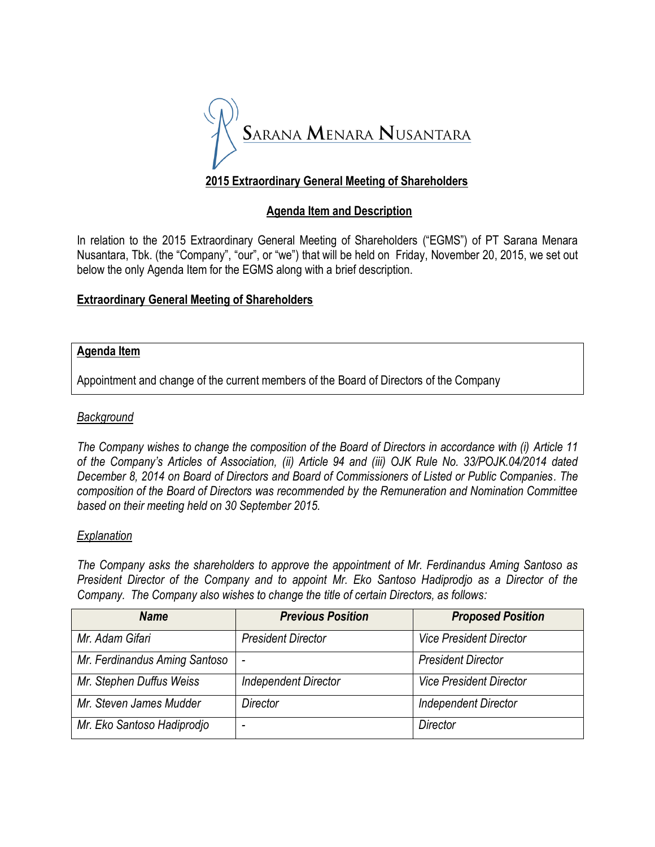

# **2015 Extraordinary General Meeting of Shareholders**

## **Agenda Item and Description**

In relation to the 2015 Extraordinary General Meeting of Shareholders ("EGMS") of PT Sarana Menara Nusantara, Tbk. (the "Company", "our", or "we") that will be held on Friday, November 20, 2015, we set out below the only Agenda Item for the EGMS along with a brief description.

### **Extraordinary General Meeting of Shareholders**

#### **Agenda Item**

Appointment and change of the current members of the Board of Directors of the Company

#### *Background*

*The Company wishes to change the composition of the Board of Directors in accordance with (i) Article 11 of the Company's Articles of Association, (ii) Article 94 and (iii) OJK Rule No. 33/POJK.04/2014 dated December 8, 2014 on Board of Directors and Board of Commissioners of Listed or Public Companies. The composition of the Board of Directors was recommended by the Remuneration and Nomination Committee based on their meeting held on 30 September 2015.* 

#### *Explanation*

*The Company asks the shareholders to approve the appointment of Mr. Ferdinandus Aming Santoso as President Director of the Company and to appoint Mr. Eko Santoso Hadiprodjo as a Director of the Company. The Company also wishes to change the title of certain Directors, as follows:*

| <b>Name</b>                   | <b>Previous Position</b>    | <b>Proposed Position</b>       |
|-------------------------------|-----------------------------|--------------------------------|
| Mr. Adam Gifari               | <b>President Director</b>   | <b>Vice President Director</b> |
| Mr. Ferdinandus Aming Santoso | ٠                           | <b>President Director</b>      |
| Mr. Stephen Duffus Weiss      | <b>Independent Director</b> | <b>Vice President Director</b> |
| Mr. Steven James Mudder       | Director                    | <b>Independent Director</b>    |
| Mr. Eko Santoso Hadiprodjo    |                             | Director                       |